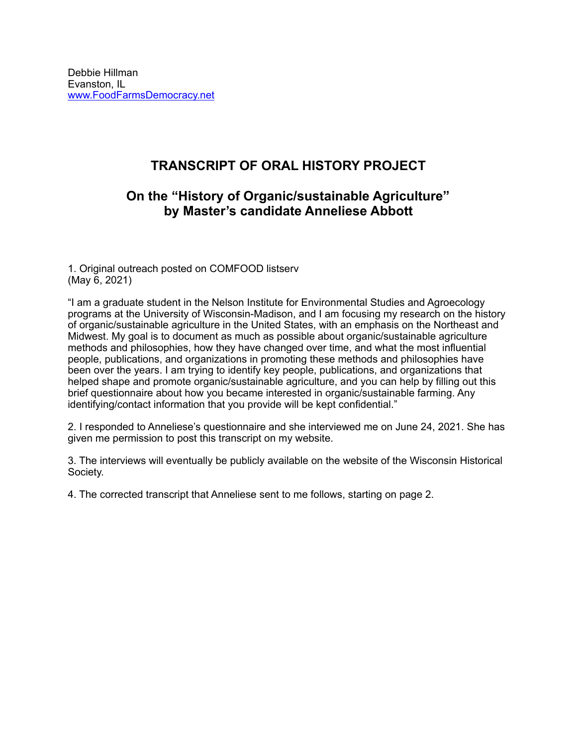# **TRANSCRIPT OF ORAL HISTORY PROJECT**

## **On the "History of Organic/sustainable Agriculture" by Master's candidate Anneliese Abbott**

1. Original outreach posted on COMFOOD listserv (May 6, 2021)

"I am a graduate student in the Nelson Institute for Environmental Studies and Agroecology programs at the University of Wisconsin-Madison, and I am focusing my research on the history of organic/sustainable agriculture in the United States, with an emphasis on the Northeast and Midwest. My goal is to document as much as possible about organic/sustainable agriculture methods and philosophies, how they have changed over time, and what the most influential people, publications, and organizations in promoting these methods and philosophies have been over the years. I am trying to identify key people, publications, and organizations that helped shape and promote organic/sustainable agriculture, and you can help by filling out this brief questionnaire about how you became interested in organic/sustainable farming. Any identifying/contact information that you provide will be kept confidential."

2. I responded to Anneliese's questionnaire and she interviewed me on June 24, 2021. She has given me permission to post this transcript on my website.

3. The interviews will eventually be publicly available on the website of the Wisconsin Historical Society.

4. The corrected transcript that Anneliese sent to me follows, starting on page 2.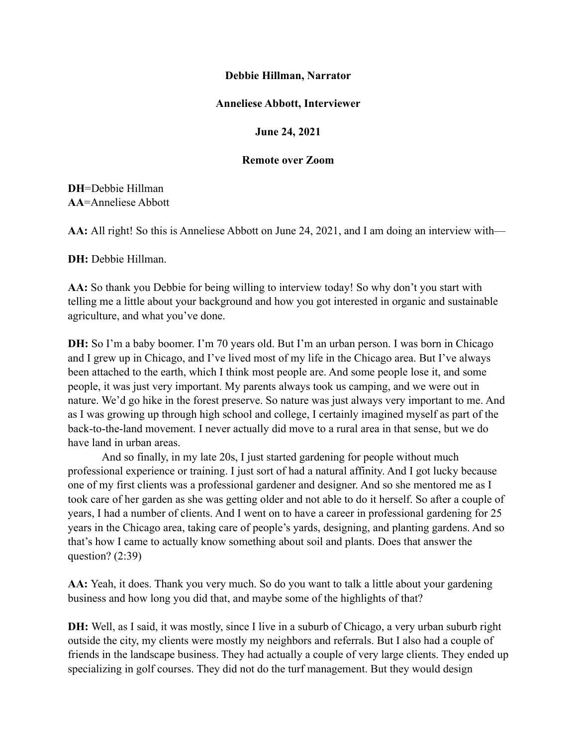#### **Debbie Hillman, Narrator**

#### **Anneliese Abbott, Interviewer**

### **June 24, 2021**

#### **Remote over Zoom**

## **DH**=Debbie Hillman **AA**=Anneliese Abbott

**AA:** All right! So this is Anneliese Abbott on June 24, 2021, and I am doing an interview with—

**DH:** Debbie Hillman.

**AA:** So thank you Debbie for being willing to interview today! So why don't you start with telling me a little about your background and how you got interested in organic and sustainable agriculture, and what you've done.

**DH:** So I'm a baby boomer. I'm 70 years old. But I'm an urban person. I was born in Chicago and I grew up in Chicago, and I've lived most of my life in the Chicago area. But I've always been attached to the earth, which I think most people are. And some people lose it, and some people, it was just very important. My parents always took us camping, and we were out in nature. We'd go hike in the forest preserve. So nature was just always very important to me. And as I was growing up through high school and college, I certainly imagined myself as part of the back-to-the-land movement. I never actually did move to a rural area in that sense, but we do have land in urban areas.

And so finally, in my late 20s, I just started gardening for people without much professional experience or training. I just sort of had a natural affinity. And I got lucky because one of my first clients was a professional gardener and designer. And so she mentored me as I took care of her garden as she was getting older and not able to do it herself. So after a couple of years, I had a number of clients. And I went on to have a career in professional gardening for 25 years in the Chicago area, taking care of people's yards, designing, and planting gardens. And so that's how I came to actually know something about soil and plants. Does that answer the question? (2:39)

**AA:** Yeah, it does. Thank you very much. So do you want to talk a little about your gardening business and how long you did that, and maybe some of the highlights of that?

**DH:** Well, as I said, it was mostly, since I live in a suburb of Chicago, a very urban suburb right outside the city, my clients were mostly my neighbors and referrals. But I also had a couple of friends in the landscape business. They had actually a couple of very large clients. They ended up specializing in golf courses. They did not do the turf management. But they would design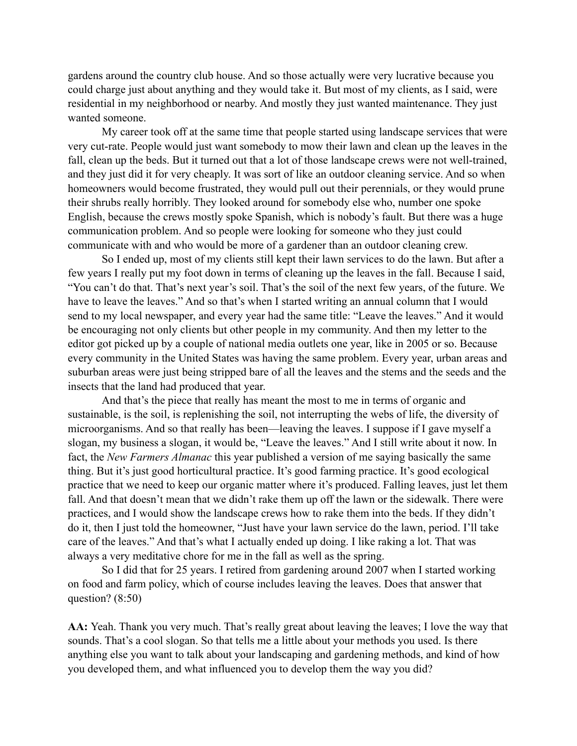gardens around the country club house. And so those actually were very lucrative because you could charge just about anything and they would take it. But most of my clients, as I said, were residential in my neighborhood or nearby. And mostly they just wanted maintenance. They just wanted someone.

My career took off at the same time that people started using landscape services that were very cut-rate. People would just want somebody to mow their lawn and clean up the leaves in the fall, clean up the beds. But it turned out that a lot of those landscape crews were not well-trained, and they just did it for very cheaply. It was sort of like an outdoor cleaning service. And so when homeowners would become frustrated, they would pull out their perennials, or they would prune their shrubs really horribly. They looked around for somebody else who, number one spoke English, because the crews mostly spoke Spanish, which is nobody's fault. But there was a huge communication problem. And so people were looking for someone who they just could communicate with and who would be more of a gardener than an outdoor cleaning crew.

So I ended up, most of my clients still kept their lawn services to do the lawn. But after a few years I really put my foot down in terms of cleaning up the leaves in the fall. Because I said, "You can't do that. That's next year's soil. That's the soil of the next few years, of the future. We have to leave the leaves." And so that's when I started writing an annual column that I would send to my local newspaper, and every year had the same title: "Leave the leaves." And it would be encouraging not only clients but other people in my community. And then my letter to the editor got picked up by a couple of national media outlets one year, like in 2005 or so. Because every community in the United States was having the same problem. Every year, urban areas and suburban areas were just being stripped bare of all the leaves and the stems and the seeds and the insects that the land had produced that year.

And that's the piece that really has meant the most to me in terms of organic and sustainable, is the soil, is replenishing the soil, not interrupting the webs of life, the diversity of microorganisms. And so that really has been—leaving the leaves. I suppose if I gave myself a slogan, my business a slogan, it would be, "Leave the leaves." And I still write about it now. In fact, the *New Farmers Almanac* this year published a version of me saying basically the same thing. But it's just good horticultural practice. It's good farming practice. It's good ecological practice that we need to keep our organic matter where it's produced. Falling leaves, just let them fall. And that doesn't mean that we didn't rake them up off the lawn or the sidewalk. There were practices, and I would show the landscape crews how to rake them into the beds. If they didn't do it, then I just told the homeowner, "Just have your lawn service do the lawn, period. I'll take care of the leaves." And that's what I actually ended up doing. I like raking a lot. That was always a very meditative chore for me in the fall as well as the spring.

So I did that for 25 years. I retired from gardening around 2007 when I started working on food and farm policy, which of course includes leaving the leaves. Does that answer that question? (8:50)

**AA:** Yeah. Thank you very much. That's really great about leaving the leaves; I love the way that sounds. That's a cool slogan. So that tells me a little about your methods you used. Is there anything else you want to talk about your landscaping and gardening methods, and kind of how you developed them, and what influenced you to develop them the way you did?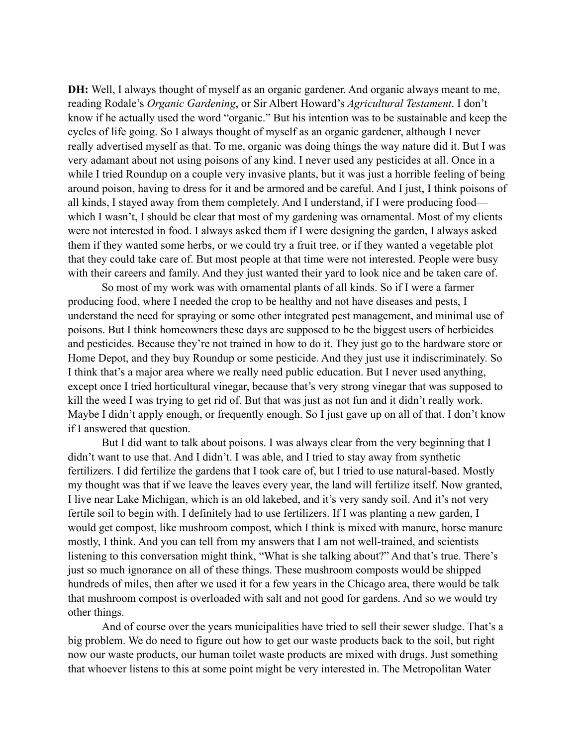**DH:** Well, I always thought of myself as an organic gardener. And organic always meant to me, reading Rodale's *Organic Gardening*, or Sir Albert Howard's *Agricultural Testament*. I don't know if he actually used the word "organic." But his intention was to be sustainable and keep the cycles of life going. So I always thought of myself as an organic gardener, although I never really advertised myself as that. To me, organic was doing things the way nature did it. But I was very adamant about not using poisons of any kind. I never used any pesticides at all. Once in a while I tried Roundup on a couple very invasive plants, but it was just a horrible feeling of being around poison, having to dress for it and be armored and be careful. And I just, I think poisons of all kinds, I stayed away from them completely. And I understand, if I were producing food which I wasn't, I should be clear that most of my gardening was ornamental. Most of my clients were not interested in food. I always asked them if I were designing the garden, I always asked them if they wanted some herbs, or we could try a fruit tree, or if they wanted a vegetable plot that they could take care of. But most people at that time were not interested. People were busy with their careers and family. And they just wanted their yard to look nice and be taken care of.

So most of my work was with ornamental plants of all kinds. So if I were a farmer producing food, where I needed the crop to be healthy and not have diseases and pests, I understand the need for spraying or some other integrated pest management, and minimal use of poisons. But I think homeowners these days are supposed to be the biggest users of herbicides and pesticides. Because they're not trained in how to do it. They just go to the hardware store or Home Depot, and they buy Roundup or some pesticide. And they just use it indiscriminately. So I think that's a major area where we really need public education. But I never used anything, except once I tried horticultural vinegar, because that's very strong vinegar that was supposed to kill the weed I was trying to get rid of. But that was just as not fun and it didn't really work. Maybe I didn't apply enough, or frequently enough. So I just gave up on all of that. I don't know if I answered that question.

But I did want to talk about poisons. I was always clear from the very beginning that I didn't want to use that. And I didn't. I was able, and I tried to stay away from synthetic fertilizers. I did fertilize the gardens that I took care of, but I tried to use natural-based. Mostly my thought was that if we leave the leaves every year, the land will fertilize itself. Now granted, I live near Lake Michigan, which is an old lakebed, and it's very sandy soil. And it's not very fertile soil to begin with. I definitely had to use fertilizers. If I was planting a new garden, I would get compost, like mushroom compost, which I think is mixed with manure, horse manure mostly, I think. And you can tell from my answers that I am not well-trained, and scientists listening to this conversation might think, "What is she talking about?" And that's true. There's just so much ignorance on all of these things. These mushroom composts would be shipped hundreds of miles, then after we used it for a few years in the Chicago area, there would be talk that mushroom compost is overloaded with salt and not good for gardens. And so we would try other things.

And of course over the years municipalities have tried to sell their sewer sludge. That's a big problem. We do need to figure out how to get our waste products back to the soil, but right now our waste products, our human toilet waste products are mixed with drugs. Just something that whoever listens to this at some point might be very interested in. The Metropolitan Water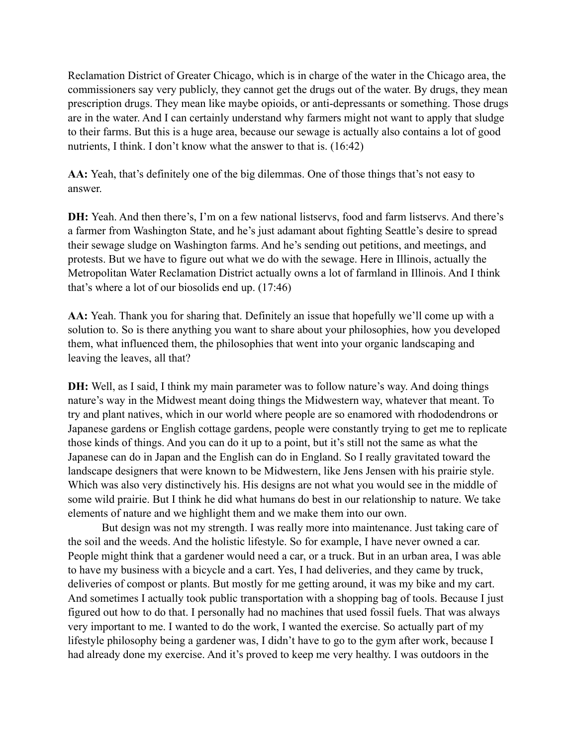Reclamation District of Greater Chicago, which is in charge of the water in the Chicago area, the commissioners say very publicly, they cannot get the drugs out of the water. By drugs, they mean prescription drugs. They mean like maybe opioids, or anti-depressants or something. Those drugs are in the water. And I can certainly understand why farmers might not want to apply that sludge to their farms. But this is a huge area, because our sewage is actually also contains a lot of good nutrients, I think. I don't know what the answer to that is. (16:42)

**AA:** Yeah, that's definitely one of the big dilemmas. One of those things that's not easy to answer.

**DH:** Yeah. And then there's, I'm on a few national listservs, food and farm listservs. And there's a farmer from Washington State, and he's just adamant about fighting Seattle's desire to spread their sewage sludge on Washington farms. And he's sending out petitions, and meetings, and protests. But we have to figure out what we do with the sewage. Here in Illinois, actually the Metropolitan Water Reclamation District actually owns a lot of farmland in Illinois. And I think that's where a lot of our biosolids end up. (17:46)

**AA:** Yeah. Thank you for sharing that. Definitely an issue that hopefully we'll come up with a solution to. So is there anything you want to share about your philosophies, how you developed them, what influenced them, the philosophies that went into your organic landscaping and leaving the leaves, all that?

**DH:** Well, as I said, I think my main parameter was to follow nature's way. And doing things nature's way in the Midwest meant doing things the Midwestern way, whatever that meant. To try and plant natives, which in our world where people are so enamored with rhododendrons or Japanese gardens or English cottage gardens, people were constantly trying to get me to replicate those kinds of things. And you can do it up to a point, but it's still not the same as what the Japanese can do in Japan and the English can do in England. So I really gravitated toward the landscape designers that were known to be Midwestern, like Jens Jensen with his prairie style. Which was also very distinctively his. His designs are not what you would see in the middle of some wild prairie. But I think he did what humans do best in our relationship to nature. We take elements of nature and we highlight them and we make them into our own.

But design was not my strength. I was really more into maintenance. Just taking care of the soil and the weeds. And the holistic lifestyle. So for example, I have never owned a car. People might think that a gardener would need a car, or a truck. But in an urban area, I was able to have my business with a bicycle and a cart. Yes, I had deliveries, and they came by truck, deliveries of compost or plants. But mostly for me getting around, it was my bike and my cart. And sometimes I actually took public transportation with a shopping bag of tools. Because I just figured out how to do that. I personally had no machines that used fossil fuels. That was always very important to me. I wanted to do the work, I wanted the exercise. So actually part of my lifestyle philosophy being a gardener was, I didn't have to go to the gym after work, because I had already done my exercise. And it's proved to keep me very healthy. I was outdoors in the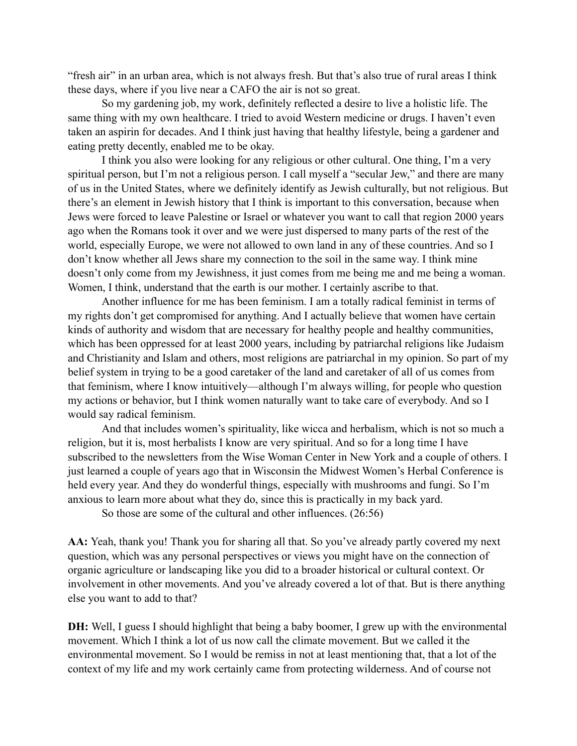"fresh air" in an urban area, which is not always fresh. But that's also true of rural areas I think these days, where if you live near a CAFO the air is not so great.

So my gardening job, my work, definitely reflected a desire to live a holistic life. The same thing with my own healthcare. I tried to avoid Western medicine or drugs. I haven't even taken an aspirin for decades. And I think just having that healthy lifestyle, being a gardener and eating pretty decently, enabled me to be okay.

I think you also were looking for any religious or other cultural. One thing, I'm a very spiritual person, but I'm not a religious person. I call myself a "secular Jew," and there are many of us in the United States, where we definitely identify as Jewish culturally, but not religious. But there's an element in Jewish history that I think is important to this conversation, because when Jews were forced to leave Palestine or Israel or whatever you want to call that region 2000 years ago when the Romans took it over and we were just dispersed to many parts of the rest of the world, especially Europe, we were not allowed to own land in any of these countries. And so I don't know whether all Jews share my connection to the soil in the same way. I think mine doesn't only come from my Jewishness, it just comes from me being me and me being a woman. Women, I think, understand that the earth is our mother. I certainly ascribe to that.

Another influence for me has been feminism. I am a totally radical feminist in terms of my rights don't get compromised for anything. And I actually believe that women have certain kinds of authority and wisdom that are necessary for healthy people and healthy communities, which has been oppressed for at least 2000 years, including by patriarchal religions like Judaism and Christianity and Islam and others, most religions are patriarchal in my opinion. So part of my belief system in trying to be a good caretaker of the land and caretaker of all of us comes from that feminism, where I know intuitively—although I'm always willing, for people who question my actions or behavior, but I think women naturally want to take care of everybody. And so I would say radical feminism.

And that includes women's spirituality, like wicca and herbalism, which is not so much a religion, but it is, most herbalists I know are very spiritual. And so for a long time I have subscribed to the newsletters from the Wise Woman Center in New York and a couple of others. I just learned a couple of years ago that in Wisconsin the Midwest Women's Herbal Conference is held every year. And they do wonderful things, especially with mushrooms and fungi. So I'm anxious to learn more about what they do, since this is practically in my back yard.

So those are some of the cultural and other influences. (26:56)

**AA:** Yeah, thank you! Thank you for sharing all that. So you've already partly covered my next question, which was any personal perspectives or views you might have on the connection of organic agriculture or landscaping like you did to a broader historical or cultural context. Or involvement in other movements. And you've already covered a lot of that. But is there anything else you want to add to that?

**DH:** Well, I guess I should highlight that being a baby boomer, I grew up with the environmental movement. Which I think a lot of us now call the climate movement. But we called it the environmental movement. So I would be remiss in not at least mentioning that, that a lot of the context of my life and my work certainly came from protecting wilderness. And of course not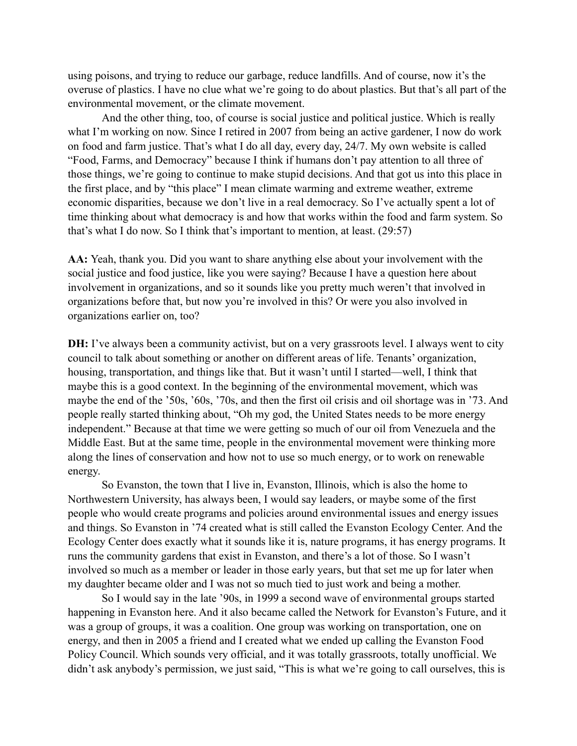using poisons, and trying to reduce our garbage, reduce landfills. And of course, now it's the overuse of plastics. I have no clue what we're going to do about plastics. But that's all part of the environmental movement, or the climate movement.

And the other thing, too, of course is social justice and political justice. Which is really what I'm working on now. Since I retired in 2007 from being an active gardener, I now do work on food and farm justice. That's what I do all day, every day, 24/7. My own website is called "Food, Farms, and Democracy" because I think if humans don't pay attention to all three of those things, we're going to continue to make stupid decisions. And that got us into this place in the first place, and by "this place" I mean climate warming and extreme weather, extreme economic disparities, because we don't live in a real democracy. So I've actually spent a lot of time thinking about what democracy is and how that works within the food and farm system. So that's what I do now. So I think that's important to mention, at least. (29:57)

**AA:** Yeah, thank you. Did you want to share anything else about your involvement with the social justice and food justice, like you were saying? Because I have a question here about involvement in organizations, and so it sounds like you pretty much weren't that involved in organizations before that, but now you're involved in this? Or were you also involved in organizations earlier on, too?

**DH:** I've always been a community activist, but on a very grassroots level. I always went to city council to talk about something or another on different areas of life. Tenants' organization, housing, transportation, and things like that. But it wasn't until I started—well, I think that maybe this is a good context. In the beginning of the environmental movement, which was maybe the end of the '50s, '60s, '70s, and then the first oil crisis and oil shortage was in '73. And people really started thinking about, "Oh my god, the United States needs to be more energy independent." Because at that time we were getting so much of our oil from Venezuela and the Middle East. But at the same time, people in the environmental movement were thinking more along the lines of conservation and how not to use so much energy, or to work on renewable energy.

So Evanston, the town that I live in, Evanston, Illinois, which is also the home to Northwestern University, has always been, I would say leaders, or maybe some of the first people who would create programs and policies around environmental issues and energy issues and things. So Evanston in '74 created what is still called the Evanston Ecology Center. And the Ecology Center does exactly what it sounds like it is, nature programs, it has energy programs. It runs the community gardens that exist in Evanston, and there's a lot of those. So I wasn't involved so much as a member or leader in those early years, but that set me up for later when my daughter became older and I was not so much tied to just work and being a mother.

So I would say in the late '90s, in 1999 a second wave of environmental groups started happening in Evanston here. And it also became called the Network for Evanston's Future, and it was a group of groups, it was a coalition. One group was working on transportation, one on energy, and then in 2005 a friend and I created what we ended up calling the Evanston Food Policy Council. Which sounds very official, and it was totally grassroots, totally unofficial. We didn't ask anybody's permission, we just said, "This is what we're going to call ourselves, this is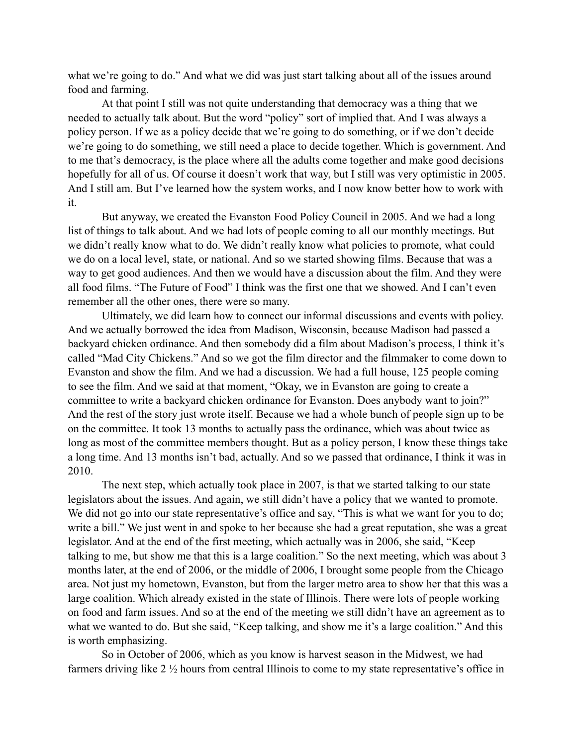what we're going to do." And what we did was just start talking about all of the issues around food and farming.

At that point I still was not quite understanding that democracy was a thing that we needed to actually talk about. But the word "policy" sort of implied that. And I was always a policy person. If we as a policy decide that we're going to do something, or if we don't decide we're going to do something, we still need a place to decide together. Which is government. And to me that's democracy, is the place where all the adults come together and make good decisions hopefully for all of us. Of course it doesn't work that way, but I still was very optimistic in 2005. And I still am. But I've learned how the system works, and I now know better how to work with it.

But anyway, we created the Evanston Food Policy Council in 2005. And we had a long list of things to talk about. And we had lots of people coming to all our monthly meetings. But we didn't really know what to do. We didn't really know what policies to promote, what could we do on a local level, state, or national. And so we started showing films. Because that was a way to get good audiences. And then we would have a discussion about the film. And they were all food films. "The Future of Food" I think was the first one that we showed. And I can't even remember all the other ones, there were so many.

Ultimately, we did learn how to connect our informal discussions and events with policy. And we actually borrowed the idea from Madison, Wisconsin, because Madison had passed a backyard chicken ordinance. And then somebody did a film about Madison's process, I think it's called "Mad City Chickens." And so we got the film director and the filmmaker to come down to Evanston and show the film. And we had a discussion. We had a full house, 125 people coming to see the film. And we said at that moment, "Okay, we in Evanston are going to create a committee to write a backyard chicken ordinance for Evanston. Does anybody want to join?" And the rest of the story just wrote itself. Because we had a whole bunch of people sign up to be on the committee. It took 13 months to actually pass the ordinance, which was about twice as long as most of the committee members thought. But as a policy person, I know these things take a long time. And 13 months isn't bad, actually. And so we passed that ordinance, I think it was in 2010.

The next step, which actually took place in 2007, is that we started talking to our state legislators about the issues. And again, we still didn't have a policy that we wanted to promote. We did not go into our state representative's office and say, "This is what we want for you to do; write a bill." We just went in and spoke to her because she had a great reputation, she was a great legislator. And at the end of the first meeting, which actually was in 2006, she said, "Keep talking to me, but show me that this is a large coalition." So the next meeting, which was about 3 months later, at the end of 2006, or the middle of 2006, I brought some people from the Chicago area. Not just my hometown, Evanston, but from the larger metro area to show her that this was a large coalition. Which already existed in the state of Illinois. There were lots of people working on food and farm issues. And so at the end of the meeting we still didn't have an agreement as to what we wanted to do. But she said, "Keep talking, and show me it's a large coalition." And this is worth emphasizing.

So in October of 2006, which as you know is harvest season in the Midwest, we had farmers driving like 2 ½ hours from central Illinois to come to my state representative's office in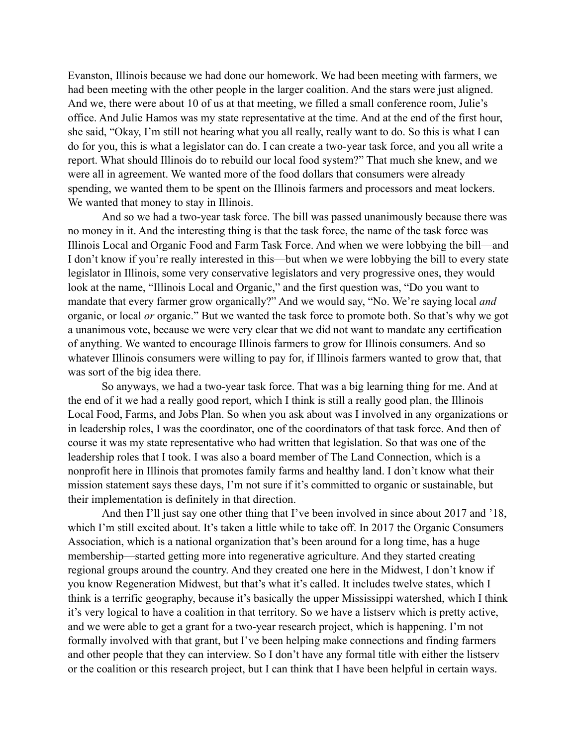Evanston, Illinois because we had done our homework. We had been meeting with farmers, we had been meeting with the other people in the larger coalition. And the stars were just aligned. And we, there were about 10 of us at that meeting, we filled a small conference room, Julie's office. And Julie Hamos was my state representative at the time. And at the end of the first hour, she said, "Okay, I'm still not hearing what you all really, really want to do. So this is what I can do for you, this is what a legislator can do. I can create a two-year task force, and you all write a report. What should Illinois do to rebuild our local food system?" That much she knew, and we were all in agreement. We wanted more of the food dollars that consumers were already spending, we wanted them to be spent on the Illinois farmers and processors and meat lockers. We wanted that money to stay in Illinois.

And so we had a two-year task force. The bill was passed unanimously because there was no money in it. And the interesting thing is that the task force, the name of the task force was Illinois Local and Organic Food and Farm Task Force. And when we were lobbying the bill—and I don't know if you're really interested in this—but when we were lobbying the bill to every state legislator in Illinois, some very conservative legislators and very progressive ones, they would look at the name, "Illinois Local and Organic," and the first question was, "Do you want to mandate that every farmer grow organically?" And we would say, "No. We're saying local *and*  organic, or local *or* organic." But we wanted the task force to promote both. So that's why we got a unanimous vote, because we were very clear that we did not want to mandate any certification of anything. We wanted to encourage Illinois farmers to grow for Illinois consumers. And so whatever Illinois consumers were willing to pay for, if Illinois farmers wanted to grow that, that was sort of the big idea there.

So anyways, we had a two-year task force. That was a big learning thing for me. And at the end of it we had a really good report, which I think is still a really good plan, the Illinois Local Food, Farms, and Jobs Plan. So when you ask about was I involved in any organizations or in leadership roles, I was the coordinator, one of the coordinators of that task force. And then of course it was my state representative who had written that legislation. So that was one of the leadership roles that I took. I was also a board member of The Land Connection, which is a nonprofit here in Illinois that promotes family farms and healthy land. I don't know what their mission statement says these days, I'm not sure if it's committed to organic or sustainable, but their implementation is definitely in that direction.

And then I'll just say one other thing that I've been involved in since about 2017 and '18, which I'm still excited about. It's taken a little while to take off. In 2017 the Organic Consumers Association, which is a national organization that's been around for a long time, has a huge membership—started getting more into regenerative agriculture. And they started creating regional groups around the country. And they created one here in the Midwest, I don't know if you know Regeneration Midwest, but that's what it's called. It includes twelve states, which I think is a terrific geography, because it's basically the upper Mississippi watershed, which I think it's very logical to have a coalition in that territory. So we have a listserv which is pretty active, and we were able to get a grant for a two-year research project, which is happening. I'm not formally involved with that grant, but I've been helping make connections and finding farmers and other people that they can interview. So I don't have any formal title with either the listserv or the coalition or this research project, but I can think that I have been helpful in certain ways.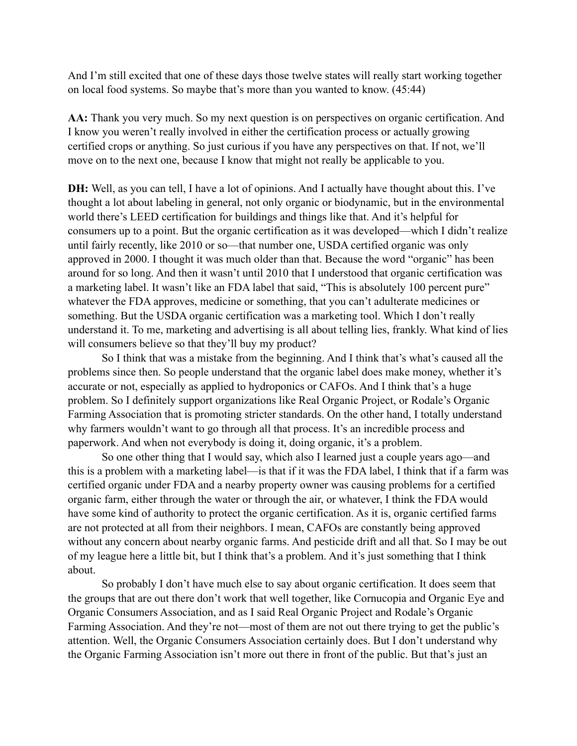And I'm still excited that one of these days those twelve states will really start working together on local food systems. So maybe that's more than you wanted to know. (45:44)

**AA:** Thank you very much. So my next question is on perspectives on organic certification. And I know you weren't really involved in either the certification process or actually growing certified crops or anything. So just curious if you have any perspectives on that. If not, we'll move on to the next one, because I know that might not really be applicable to you.

**DH:** Well, as you can tell, I have a lot of opinions. And I actually have thought about this. I've thought a lot about labeling in general, not only organic or biodynamic, but in the environmental world there's LEED certification for buildings and things like that. And it's helpful for consumers up to a point. But the organic certification as it was developed—which I didn't realize until fairly recently, like 2010 or so—that number one, USDA certified organic was only approved in 2000. I thought it was much older than that. Because the word "organic" has been around for so long. And then it wasn't until 2010 that I understood that organic certification was a marketing label. It wasn't like an FDA label that said, "This is absolutely 100 percent pure" whatever the FDA approves, medicine or something, that you can't adulterate medicines or something. But the USDA organic certification was a marketing tool. Which I don't really understand it. To me, marketing and advertising is all about telling lies, frankly. What kind of lies will consumers believe so that they'll buy my product?

So I think that was a mistake from the beginning. And I think that's what's caused all the problems since then. So people understand that the organic label does make money, whether it's accurate or not, especially as applied to hydroponics or CAFOs. And I think that's a huge problem. So I definitely support organizations like Real Organic Project, or Rodale's Organic Farming Association that is promoting stricter standards. On the other hand, I totally understand why farmers wouldn't want to go through all that process. It's an incredible process and paperwork. And when not everybody is doing it, doing organic, it's a problem.

So one other thing that I would say, which also I learned just a couple years ago—and this is a problem with a marketing label—is that if it was the FDA label, I think that if a farm was certified organic under FDA and a nearby property owner was causing problems for a certified organic farm, either through the water or through the air, or whatever, I think the FDA would have some kind of authority to protect the organic certification. As it is, organic certified farms are not protected at all from their neighbors. I mean, CAFOs are constantly being approved without any concern about nearby organic farms. And pesticide drift and all that. So I may be out of my league here a little bit, but I think that's a problem. And it's just something that I think about.

So probably I don't have much else to say about organic certification. It does seem that the groups that are out there don't work that well together, like Cornucopia and Organic Eye and Organic Consumers Association, and as I said Real Organic Project and Rodale's Organic Farming Association. And they're not—most of them are not out there trying to get the public's attention. Well, the Organic Consumers Association certainly does. But I don't understand why the Organic Farming Association isn't more out there in front of the public. But that's just an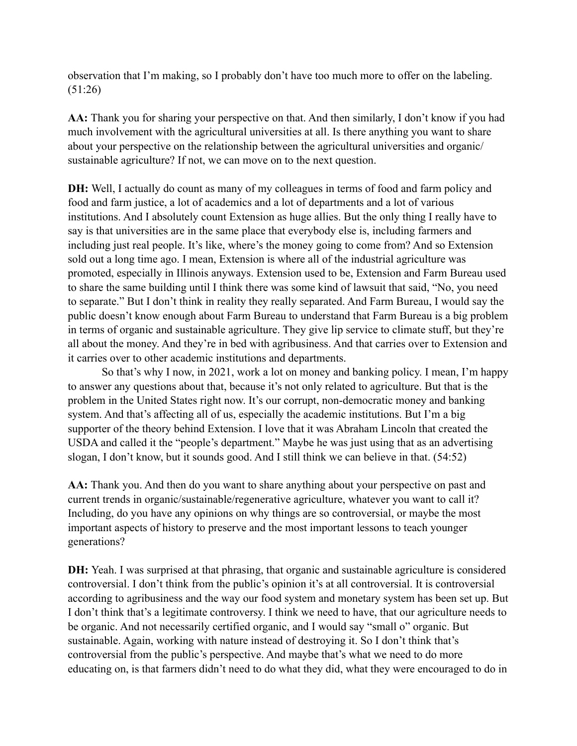observation that I'm making, so I probably don't have too much more to offer on the labeling. (51:26)

AA: Thank you for sharing your perspective on that. And then similarly, I don't know if you had much involvement with the agricultural universities at all. Is there anything you want to share about your perspective on the relationship between the agricultural universities and organic/ sustainable agriculture? If not, we can move on to the next question.

**DH:** Well, I actually do count as many of my colleagues in terms of food and farm policy and food and farm justice, a lot of academics and a lot of departments and a lot of various institutions. And I absolutely count Extension as huge allies. But the only thing I really have to say is that universities are in the same place that everybody else is, including farmers and including just real people. It's like, where's the money going to come from? And so Extension sold out a long time ago. I mean, Extension is where all of the industrial agriculture was promoted, especially in Illinois anyways. Extension used to be, Extension and Farm Bureau used to share the same building until I think there was some kind of lawsuit that said, "No, you need to separate." But I don't think in reality they really separated. And Farm Bureau, I would say the public doesn't know enough about Farm Bureau to understand that Farm Bureau is a big problem in terms of organic and sustainable agriculture. They give lip service to climate stuff, but they're all about the money. And they're in bed with agribusiness. And that carries over to Extension and it carries over to other academic institutions and departments.

So that's why I now, in 2021, work a lot on money and banking policy. I mean, I'm happy to answer any questions about that, because it's not only related to agriculture. But that is the problem in the United States right now. It's our corrupt, non-democratic money and banking system. And that's affecting all of us, especially the academic institutions. But I'm a big supporter of the theory behind Extension. I love that it was Abraham Lincoln that created the USDA and called it the "people's department." Maybe he was just using that as an advertising slogan, I don't know, but it sounds good. And I still think we can believe in that. (54:52)

**AA:** Thank you. And then do you want to share anything about your perspective on past and current trends in organic/sustainable/regenerative agriculture, whatever you want to call it? Including, do you have any opinions on why things are so controversial, or maybe the most important aspects of history to preserve and the most important lessons to teach younger generations?

**DH:** Yeah. I was surprised at that phrasing, that organic and sustainable agriculture is considered controversial. I don't think from the public's opinion it's at all controversial. It is controversial according to agribusiness and the way our food system and monetary system has been set up. But I don't think that's a legitimate controversy. I think we need to have, that our agriculture needs to be organic. And not necessarily certified organic, and I would say "small o" organic. But sustainable. Again, working with nature instead of destroying it. So I don't think that's controversial from the public's perspective. And maybe that's what we need to do more educating on, is that farmers didn't need to do what they did, what they were encouraged to do in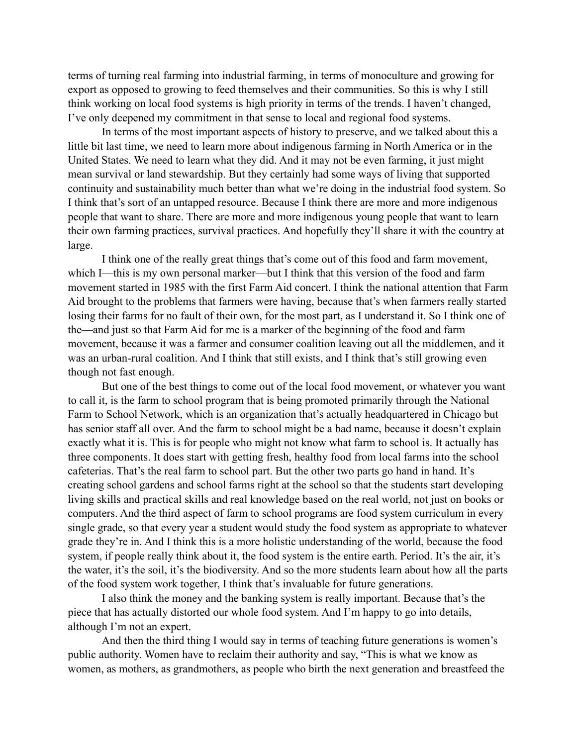terms of turning real farming into industrial farming, in terms of monoculture and growing for export as opposed to growing to feed themselves and their communities. So this is why I still think working on local food systems is high priority in terms of the trends. I haven't changed, I've only deepened my commitment in that sense to local and regional food systems.

In terms of the most important aspects of history to preserve, and we talked about this a little bit last time, we need to learn more about indigenous farming in North America or in the United States. We need to learn what they did. And it may not be even farming, it just might mean survival or land stewardship. But they certainly had some ways of living that supported continuity and sustainability much better than what we're doing in the industrial food system. So I think that's sort of an untapped resource. Because I think there are more and more indigenous people that want to share. There are more and more indigenous young people that want to learn their own farming practices, survival practices. And hopefully they'll share it with the country at large.

I think one of the really great things that's come out of this food and farm movement, which I—this is my own personal marker—but I think that this version of the food and farm movement started in 1985 with the first Farm Aid concert. I think the national attention that Farm Aid brought to the problems that farmers were having, because that's when farmers really started losing their farms for no fault of their own, for the most part, as I understand it. So I think one of the—and just so that Farm Aid for me is a marker of the beginning of the food and farm movement, because it was a farmer and consumer coalition leaving out all the middlemen, and it was an urban-rural coalition. And I think that still exists, and I think that's still growing even though not fast enough.

But one of the best things to come out of the local food movement, or whatever you want to call it, is the farm to school program that is being promoted primarily through the National Farm to School Network, which is an organization that's actually headquartered in Chicago but has senior staff all over. And the farm to school might be a bad name, because it doesn't explain exactly what it is. This is for people who might not know what farm to school is. It actually has three components. It does start with getting fresh, healthy food from local farms into the school cafeterias. That's the real farm to school part. But the other two parts go hand in hand. It's creating school gardens and school farms right at the school so that the students start developing living skills and practical skills and real knowledge based on the real world, not just on books or computers. And the third aspect of farm to school programs are food system curriculum in every single grade, so that every year a student would study the food system as appropriate to whatever grade they're in. And I think this is a more holistic understanding of the world, because the food system, if people really think about it, the food system is the entire earth. Period. It's the air, it's the water, it's the soil, it's the biodiversity. And so the more students learn about how all the parts of the food system work together, I think that's invaluable for future generations.

I also think the money and the banking system is really important. Because that's the piece that has actually distorted our whole food system. And I'm happy to go into details, although I'm not an expert.

And then the third thing I would say in terms of teaching future generations is women's public authority. Women have to reclaim their authority and say, "This is what we know as women, as mothers, as grandmothers, as people who birth the next generation and breastfeed the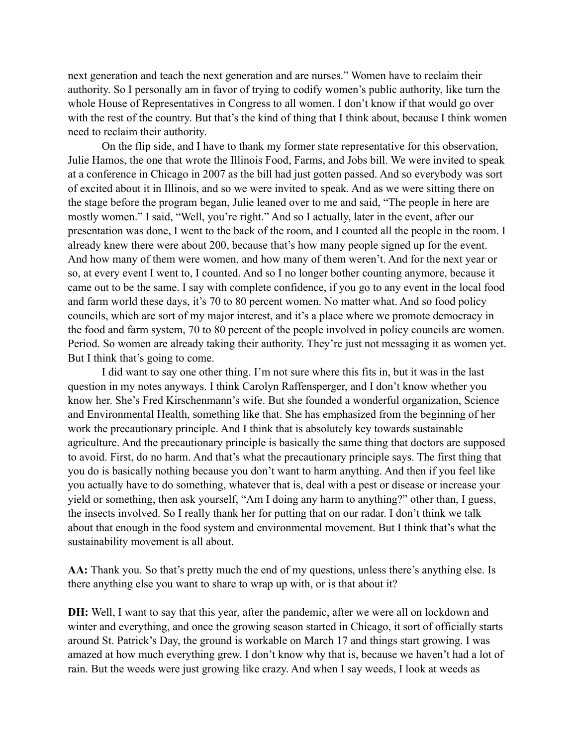next generation and teach the next generation and are nurses." Women have to reclaim their authority. So I personally am in favor of trying to codify women's public authority, like turn the whole House of Representatives in Congress to all women. I don't know if that would go over with the rest of the country. But that's the kind of thing that I think about, because I think women need to reclaim their authority.

On the flip side, and I have to thank my former state representative for this observation, Julie Hamos, the one that wrote the Illinois Food, Farms, and Jobs bill. We were invited to speak at a conference in Chicago in 2007 as the bill had just gotten passed. And so everybody was sort of excited about it in Illinois, and so we were invited to speak. And as we were sitting there on the stage before the program began, Julie leaned over to me and said, "The people in here are mostly women." I said, "Well, you're right." And so I actually, later in the event, after our presentation was done, I went to the back of the room, and I counted all the people in the room. I already knew there were about 200, because that's how many people signed up for the event. And how many of them were women, and how many of them weren't. And for the next year or so, at every event I went to, I counted. And so I no longer bother counting anymore, because it came out to be the same. I say with complete confidence, if you go to any event in the local food and farm world these days, it's 70 to 80 percent women. No matter what. And so food policy councils, which are sort of my major interest, and it's a place where we promote democracy in the food and farm system, 70 to 80 percent of the people involved in policy councils are women. Period. So women are already taking their authority. They're just not messaging it as women yet. But I think that's going to come.

I did want to say one other thing. I'm not sure where this fits in, but it was in the last question in my notes anyways. I think Carolyn Raffensperger, and I don't know whether you know her. She's Fred Kirschenmann's wife. But she founded a wonderful organization, Science and Environmental Health, something like that. She has emphasized from the beginning of her work the precautionary principle. And I think that is absolutely key towards sustainable agriculture. And the precautionary principle is basically the same thing that doctors are supposed to avoid. First, do no harm. And that's what the precautionary principle says. The first thing that you do is basically nothing because you don't want to harm anything. And then if you feel like you actually have to do something, whatever that is, deal with a pest or disease or increase your yield or something, then ask yourself, "Am I doing any harm to anything?" other than, I guess, the insects involved. So I really thank her for putting that on our radar. I don't think we talk about that enough in the food system and environmental movement. But I think that's what the sustainability movement is all about.

AA: Thank you. So that's pretty much the end of my questions, unless there's anything else. Is there anything else you want to share to wrap up with, or is that about it?

**DH:** Well, I want to say that this year, after the pandemic, after we were all on lockdown and winter and everything, and once the growing season started in Chicago, it sort of officially starts around St. Patrick's Day, the ground is workable on March 17 and things start growing. I was amazed at how much everything grew. I don't know why that is, because we haven't had a lot of rain. But the weeds were just growing like crazy. And when I say weeds, I look at weeds as